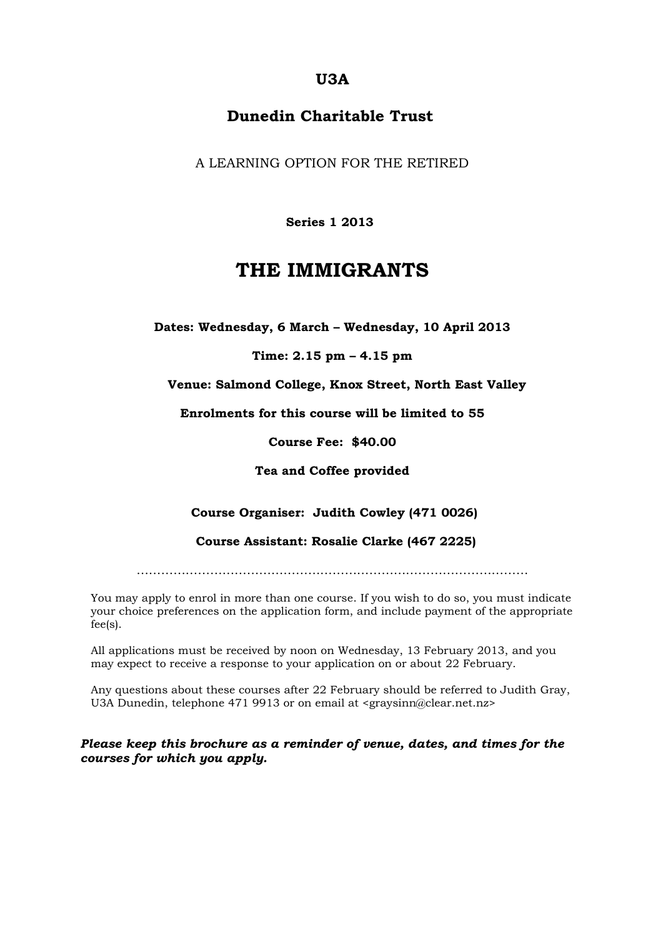## **U3A**

## **Dunedin Charitable Trust**

A LEARNING OPTION FOR THE RETIRED

 **Series 1 2013**

## **THE IMMIGRANTS**

**Dates: Wednesday, 6 March – Wednesday, 10 April 2013**

**Time: 2.15 pm – 4.15 pm**

**Venue: Salmond College, Knox Street, North East Valley**

**Enrolments for this course will be limited to 55**

**Course Fee: \$40.00**

**Tea and Coffee provided**

**Course Organiser: Judith Cowley (471 0026)**

 **Course Assistant: Rosalie Clarke (467 2225)**

……………………………………………………………………………………

You may apply to enrol in more than one course. If you wish to do so, you must indicate your choice preferences on the application form, and include payment of the appropriate fee(s).

All applications must be received by noon on Wednesday, 13 February 2013, and you may expect to receive a response to your application on or about 22 February.

Any questions about these courses after 22 February should be referred to Judith Gray, U3A Dunedin, telephone 471 9913 or on email at <graysinn@clear.net.nz>

*Please keep this brochure as a reminder of venue, dates, and times for the courses for which you apply.*